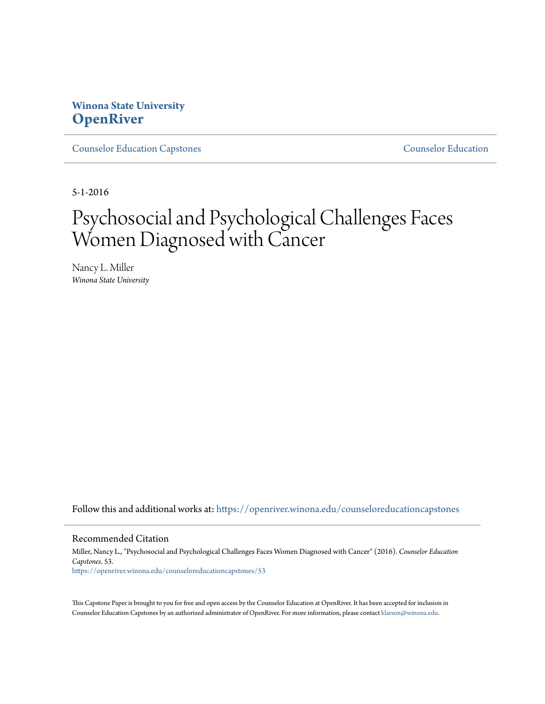# **Winona State University [OpenRiver](https://openriver.winona.edu?utm_source=openriver.winona.edu%2Fcounseloreducationcapstones%2F53&utm_medium=PDF&utm_campaign=PDFCoverPages)**

[Counselor Education Capstones](https://openriver.winona.edu/counseloreducationcapstones?utm_source=openriver.winona.edu%2Fcounseloreducationcapstones%2F53&utm_medium=PDF&utm_campaign=PDFCoverPages) [Counselor Education](https://openriver.winona.edu/counseloreducation?utm_source=openriver.winona.edu%2Fcounseloreducationcapstones%2F53&utm_medium=PDF&utm_campaign=PDFCoverPages)

5-1-2016

# Psychosocial and Psychological Challenges Faces Women Diagnosed with Cancer

Nancy L. Miller *Winona State University*

Follow this and additional works at: [https://openriver.winona.edu/counseloreducationcapstones](https://openriver.winona.edu/counseloreducationcapstones?utm_source=openriver.winona.edu%2Fcounseloreducationcapstones%2F53&utm_medium=PDF&utm_campaign=PDFCoverPages)

#### Recommended Citation

Miller, Nancy L., "Psychosocial and Psychological Challenges Faces Women Diagnosed with Cancer" (2016). *Counselor Education Capstones*. 53. [https://openriver.winona.edu/counseloreducationcapstones/53](https://openriver.winona.edu/counseloreducationcapstones/53?utm_source=openriver.winona.edu%2Fcounseloreducationcapstones%2F53&utm_medium=PDF&utm_campaign=PDFCoverPages)

This Capstone Paper is brought to you for free and open access by the Counselor Education at OpenRiver. It has been accepted for inclusion in Counselor Education Capstones by an authorized administrator of OpenRiver. For more information, please contact [klarson@winona.edu](mailto:klarson@winona.edu).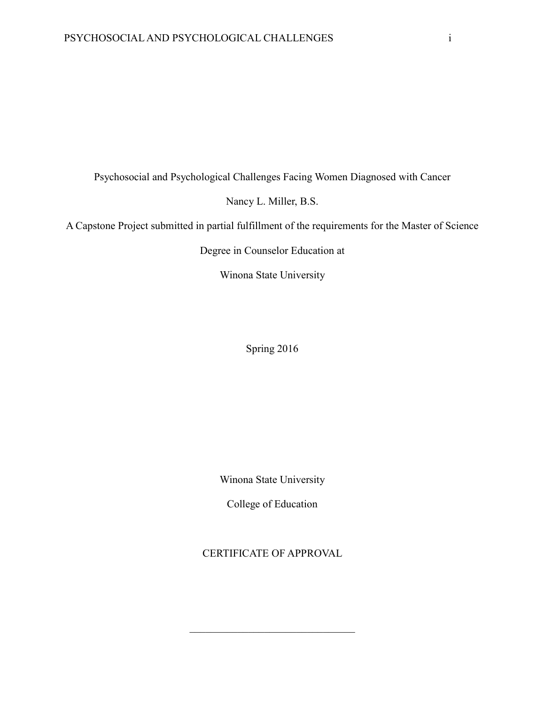Psychosocial and Psychological Challenges Facing Women Diagnosed with Cancer

Nancy L. Miller, B.S.

A Capstone Project submitted in partial fulfillment of the requirements for the Master of Science

Degree in Counselor Education at

Winona State University

Spring 2016

Winona State University

College of Education

CERTIFICATE OF APPROVAL

 $\mathcal{L}_\text{max}$  , where  $\mathcal{L}_\text{max}$  and  $\mathcal{L}_\text{max}$  and  $\mathcal{L}_\text{max}$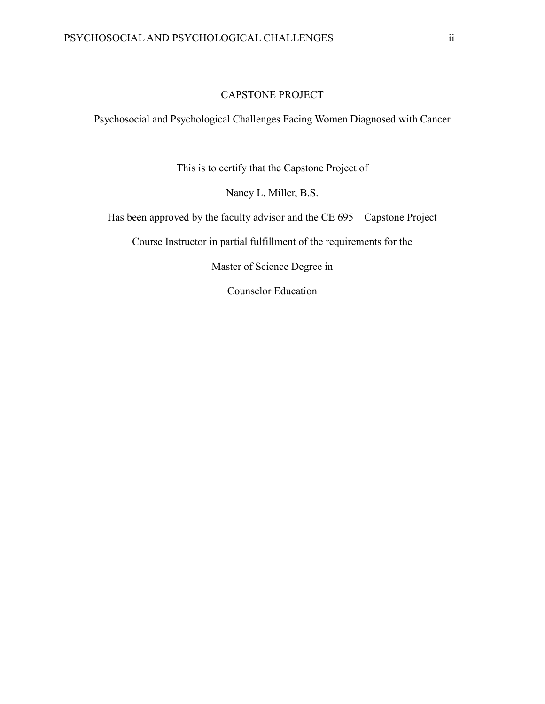# CAPSTONE PROJECT

Psychosocial and Psychological Challenges Facing Women Diagnosed with Cancer

This is to certify that the Capstone Project of

Nancy L. Miller, B.S.

Has been approved by the faculty advisor and the CE 695 – Capstone Project

Course Instructor in partial fulfillment of the requirements for the

Master of Science Degree in

Counselor Education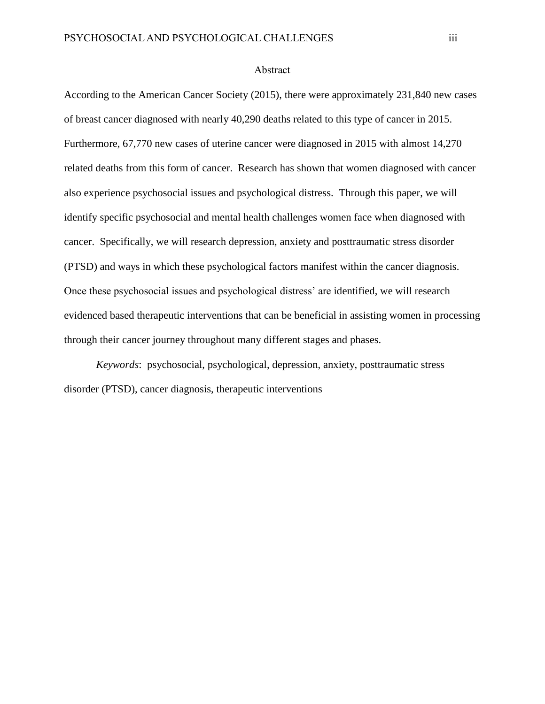#### Abstract

<span id="page-3-0"></span>According to the American Cancer Society (2015), there were approximately 231,840 new cases of breast cancer diagnosed with nearly 40,290 deaths related to this type of cancer in 2015. Furthermore, 67,770 new cases of uterine cancer were diagnosed in 2015 with almost 14,270 related deaths from this form of cancer. Research has shown that women diagnosed with cancer also experience psychosocial issues and psychological distress. Through this paper, we will identify specific psychosocial and mental health challenges women face when diagnosed with cancer. Specifically, we will research depression, anxiety and posttraumatic stress disorder (PTSD) and ways in which these psychological factors manifest within the cancer diagnosis. Once these psychosocial issues and psychological distress' are identified, we will research evidenced based therapeutic interventions that can be beneficial in assisting women in processing through their cancer journey throughout many different stages and phases.

*Keywords*: psychosocial, psychological, depression, anxiety, posttraumatic stress disorder (PTSD), cancer diagnosis, therapeutic interventions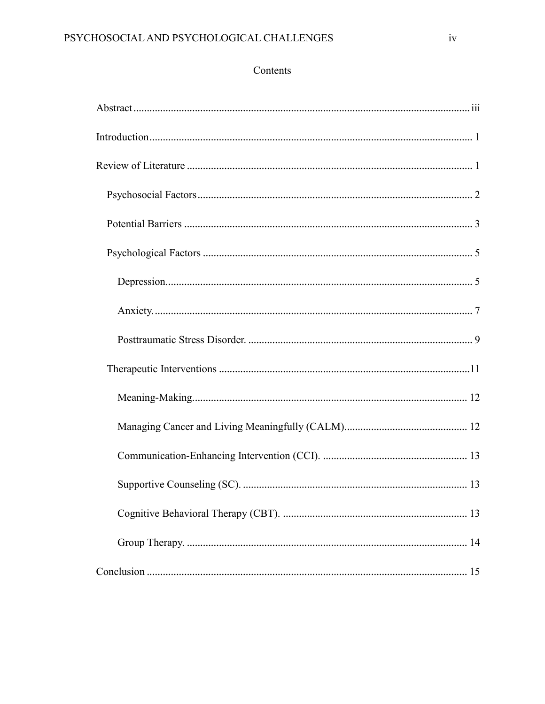# Contents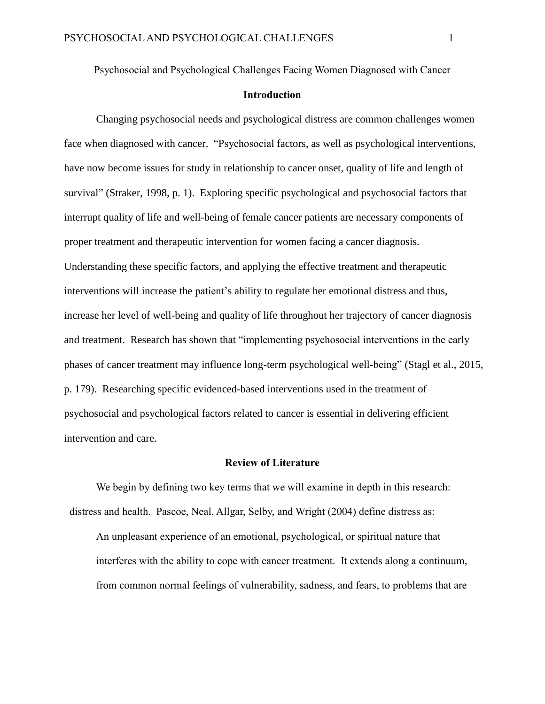# **Introduction**

<span id="page-5-0"></span>Changing psychosocial needs and psychological distress are common challenges women face when diagnosed with cancer. "Psychosocial factors, as well as psychological interventions, have now become issues for study in relationship to cancer onset, quality of life and length of survival" (Straker, 1998, p. 1). Exploring specific psychological and psychosocial factors that interrupt quality of life and well-being of female cancer patients are necessary components of proper treatment and therapeutic intervention for women facing a cancer diagnosis. Understanding these specific factors, and applying the effective treatment and therapeutic interventions will increase the patient's ability to regulate her emotional distress and thus, increase her level of well-being and quality of life throughout her trajectory of cancer diagnosis and treatment. Research has shown that "implementing psychosocial interventions in the early phases of cancer treatment may influence long-term psychological well-being" (Stagl et al., 2015, p. 179). Researching specific evidenced-based interventions used in the treatment of psychosocial and psychological factors related to cancer is essential in delivering efficient intervention and care.

#### **Review of Literature**

<span id="page-5-1"></span>We begin by defining two key terms that we will examine in depth in this research: distress and health. Pascoe, Neal, Allgar, Selby, and Wright (2004) define distress as: An unpleasant experience of an emotional, psychological, or spiritual nature that

interferes with the ability to cope with cancer treatment. It extends along a continuum, from common normal feelings of vulnerability, sadness, and fears, to problems that are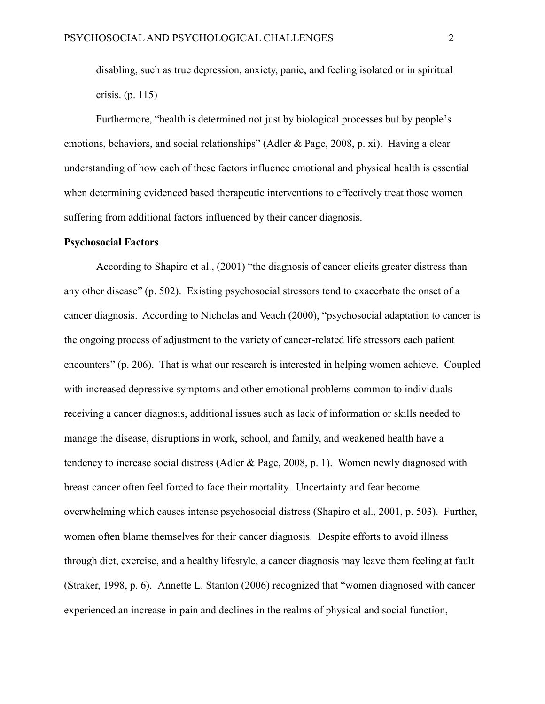disabling, such as true depression, anxiety, panic, and feeling isolated or in spiritual crisis. (p. 115)

Furthermore, "health is determined not just by biological processes but by people's emotions, behaviors, and social relationships" (Adler & Page, 2008, p. xi). Having a clear understanding of how each of these factors influence emotional and physical health is essential when determining evidenced based therapeutic interventions to effectively treat those women suffering from additional factors influenced by their cancer diagnosis.

#### <span id="page-6-0"></span>**Psychosocial Factors**

According to Shapiro et al., (2001) "the diagnosis of cancer elicits greater distress than any other disease" (p. 502). Existing psychosocial stressors tend to exacerbate the onset of a cancer diagnosis. According to Nicholas and Veach (2000), "psychosocial adaptation to cancer is the ongoing process of adjustment to the variety of cancer-related life stressors each patient encounters" (p. 206). That is what our research is interested in helping women achieve. Coupled with increased depressive symptoms and other emotional problems common to individuals receiving a cancer diagnosis, additional issues such as lack of information or skills needed to manage the disease, disruptions in work, school, and family, and weakened health have a tendency to increase social distress (Adler & Page, 2008, p. 1). Women newly diagnosed with breast cancer often feel forced to face their mortality. Uncertainty and fear become overwhelming which causes intense psychosocial distress (Shapiro et al., 2001, p. 503). Further, women often blame themselves for their cancer diagnosis. Despite efforts to avoid illness through diet, exercise, and a healthy lifestyle, a cancer diagnosis may leave them feeling at fault (Straker, 1998, p. 6). Annette L. Stanton (2006) recognized that "women diagnosed with cancer experienced an increase in pain and declines in the realms of physical and social function,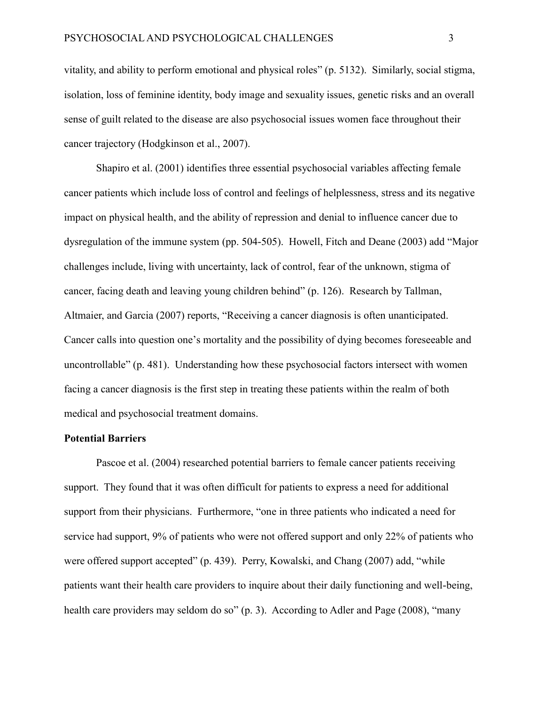vitality, and ability to perform emotional and physical roles" (p. 5132). Similarly, social stigma, isolation, loss of feminine identity, body image and sexuality issues, genetic risks and an overall sense of guilt related to the disease are also psychosocial issues women face throughout their cancer trajectory (Hodgkinson et al., 2007).

Shapiro et al. (2001) identifies three essential psychosocial variables affecting female cancer patients which include loss of control and feelings of helplessness, stress and its negative impact on physical health, and the ability of repression and denial to influence cancer due to dysregulation of the immune system (pp. 504-505). Howell, Fitch and Deane (2003) add "Major challenges include, living with uncertainty, lack of control, fear of the unknown, stigma of cancer, facing death and leaving young children behind" (p. 126). Research by Tallman, Altmaier, and Garcia (2007) reports, "Receiving a cancer diagnosis is often unanticipated. Cancer calls into question one's mortality and the possibility of dying becomes foreseeable and uncontrollable" (p. 481). Understanding how these psychosocial factors intersect with women facing a cancer diagnosis is the first step in treating these patients within the realm of both medical and psychosocial treatment domains.

#### <span id="page-7-0"></span>**Potential Barriers**

Pascoe et al. (2004) researched potential barriers to female cancer patients receiving support. They found that it was often difficult for patients to express a need for additional support from their physicians. Furthermore, "one in three patients who indicated a need for service had support, 9% of patients who were not offered support and only 22% of patients who were offered support accepted" (p. 439). Perry, Kowalski, and Chang (2007) add, "while patients want their health care providers to inquire about their daily functioning and well-being, health care providers may seldom do so" (p. 3). According to Adler and Page (2008), "many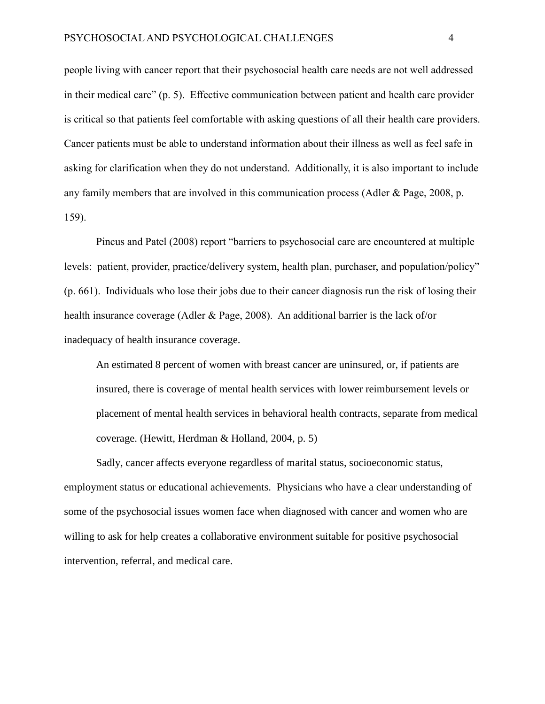people living with cancer report that their psychosocial health care needs are not well addressed in their medical care" (p. 5). Effective communication between patient and health care provider is critical so that patients feel comfortable with asking questions of all their health care providers. Cancer patients must be able to understand information about their illness as well as feel safe in asking for clarification when they do not understand. Additionally, it is also important to include any family members that are involved in this communication process (Adler & Page, 2008, p. 159).

Pincus and Patel (2008) report "barriers to psychosocial care are encountered at multiple levels: patient, provider, practice/delivery system, health plan, purchaser, and population/policy" (p. 661). Individuals who lose their jobs due to their cancer diagnosis run the risk of losing their health insurance coverage (Adler & Page, 2008). An additional barrier is the lack of/or inadequacy of health insurance coverage.

An estimated 8 percent of women with breast cancer are uninsured, or, if patients are insured, there is coverage of mental health services with lower reimbursement levels or placement of mental health services in behavioral health contracts, separate from medical coverage. (Hewitt, Herdman & Holland, 2004, p. 5)

Sadly, cancer affects everyone regardless of marital status, socioeconomic status, employment status or educational achievements. Physicians who have a clear understanding of some of the psychosocial issues women face when diagnosed with cancer and women who are willing to ask for help creates a collaborative environment suitable for positive psychosocial intervention, referral, and medical care.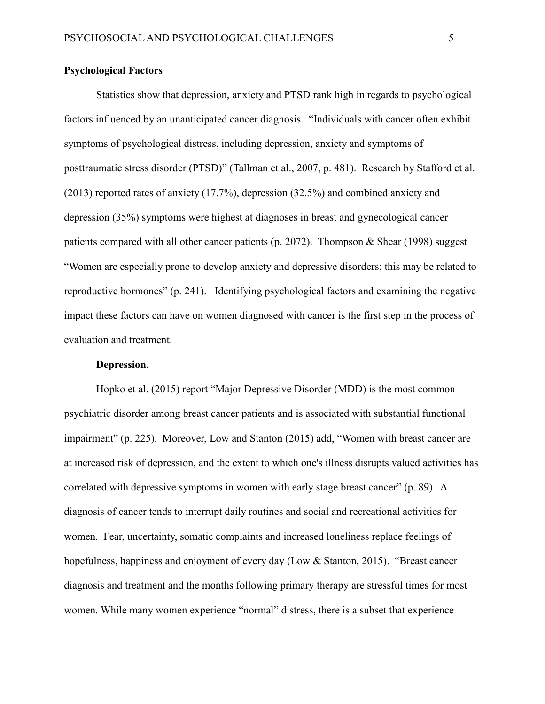#### <span id="page-9-0"></span>**Psychological Factors**

Statistics show that depression, anxiety and PTSD rank high in regards to psychological factors influenced by an unanticipated cancer diagnosis. "Individuals with cancer often exhibit symptoms of psychological distress, including depression, anxiety and symptoms of posttraumatic stress disorder (PTSD)" (Tallman et al., 2007, p. 481). Research by Stafford et al. (2013) reported rates of anxiety (17.7%), depression (32.5%) and combined anxiety and depression (35%) symptoms were highest at diagnoses in breast and gynecological cancer patients compared with all other cancer patients (p. 2072). Thompson  $\&$  Shear (1998) suggest "Women are especially prone to develop anxiety and depressive disorders; this may be related to reproductive hormones" (p. 241). Identifying psychological factors and examining the negative impact these factors can have on women diagnosed with cancer is the first step in the process of evaluation and treatment.

#### **Depression.**

<span id="page-9-1"></span>Hopko et al. (2015) report "Major Depressive Disorder (MDD) is the most common psychiatric disorder among breast cancer patients and is associated with substantial functional impairment" (p. 225). Moreover, Low and Stanton (2015) add, "Women with breast cancer are at increased risk of depression, and the extent to which one's illness disrupts valued activities has correlated with depressive symptoms in women with early stage breast cancer" (p. 89). A diagnosis of cancer tends to interrupt daily routines and social and recreational activities for women. Fear, uncertainty, somatic complaints and increased loneliness replace feelings of hopefulness, happiness and enjoyment of every day (Low & Stanton, 2015). "Breast cancer diagnosis and treatment and the months following primary therapy are stressful times for most women. While many women experience "normal" distress, there is a subset that experience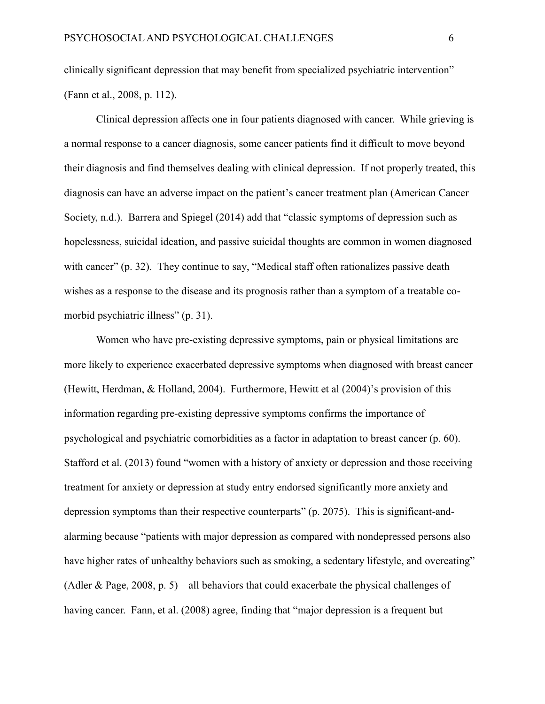clinically significant depression that may benefit from specialized psychiatric intervention" (Fann et al., 2008, p. 112).

Clinical depression affects one in four patients diagnosed with cancer. While grieving is a normal response to a cancer diagnosis, some cancer patients find it difficult to move beyond their diagnosis and find themselves dealing with clinical depression. If not properly treated, this diagnosis can have an adverse impact on the patient's cancer treatment plan (American Cancer Society, n.d.). Barrera and Spiegel (2014) add that "classic symptoms of depression such as hopelessness, suicidal ideation, and passive suicidal thoughts are common in women diagnosed with cancer" (p. 32). They continue to say, "Medical staff often rationalizes passive death wishes as a response to the disease and its prognosis rather than a symptom of a treatable comorbid psychiatric illness" (p. 31).

Women who have pre-existing depressive symptoms, pain or physical limitations are more likely to experience exacerbated depressive symptoms when diagnosed with breast cancer (Hewitt, Herdman, & Holland, 2004). Furthermore, Hewitt et al (2004)'s provision of this information regarding pre-existing depressive symptoms confirms the importance of psychological and psychiatric comorbidities as a factor in adaptation to breast cancer (p. 60). Stafford et al. (2013) found "women with a history of anxiety or depression and those receiving treatment for anxiety or depression at study entry endorsed significantly more anxiety and depression symptoms than their respective counterparts" (p. 2075). This is significant-andalarming because "patients with major depression as compared with nondepressed persons also have higher rates of unhealthy behaviors such as smoking, a sedentary lifestyle, and overeating" (Adler & Page, 2008, p. 5) – all behaviors that could exacerbate the physical challenges of having cancer. Fann, et al. (2008) agree, finding that "major depression is a frequent but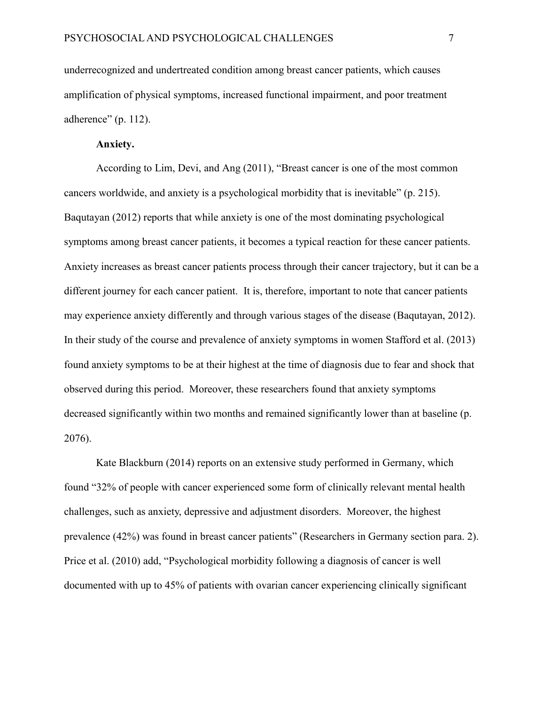underrecognized and undertreated condition among breast cancer patients, which causes amplification of physical symptoms, increased functional impairment, and poor treatment adherence" (p. 112).

#### **Anxiety.**

<span id="page-11-0"></span>According to Lim, Devi, and Ang (2011), "Breast cancer is one of the most common cancers worldwide, and anxiety is a psychological morbidity that is inevitable" (p. 215). Baqutayan (2012) reports that while anxiety is one of the most dominating psychological symptoms among breast cancer patients, it becomes a typical reaction for these cancer patients. Anxiety increases as breast cancer patients process through their cancer trajectory, but it can be a different journey for each cancer patient. It is, therefore, important to note that cancer patients may experience anxiety differently and through various stages of the disease (Baqutayan, 2012). In their study of the course and prevalence of anxiety symptoms in women Stafford et al. (2013) found anxiety symptoms to be at their highest at the time of diagnosis due to fear and shock that observed during this period. Moreover, these researchers found that anxiety symptoms decreased significantly within two months and remained significantly lower than at baseline (p. 2076).

Kate Blackburn (2014) reports on an extensive study performed in Germany, which found "32% of people with cancer experienced some form of clinically relevant mental health challenges, such as anxiety, depressive and adjustment disorders. Moreover, the highest prevalence (42%) was found in breast cancer patients" (Researchers in Germany section para. 2). Price et al. (2010) add, "Psychological morbidity following a diagnosis of cancer is well documented with up to 45% of patients with ovarian cancer experiencing clinically significant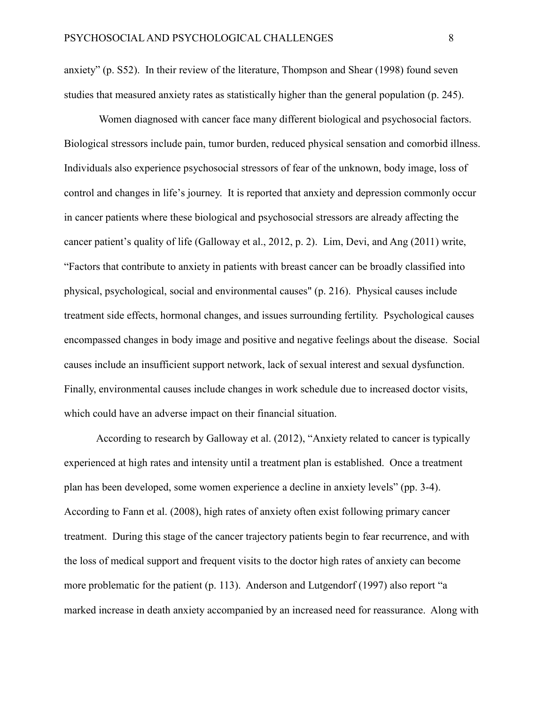anxiety" (p. S52). In their review of the literature, Thompson and Shear (1998) found seven studies that measured anxiety rates as statistically higher than the general population (p. 245).

Women diagnosed with cancer face many different biological and psychosocial factors. Biological stressors include pain, tumor burden, reduced physical sensation and comorbid illness. Individuals also experience psychosocial stressors of fear of the unknown, body image, loss of control and changes in life's journey. It is reported that anxiety and depression commonly occur in cancer patients where these biological and psychosocial stressors are already affecting the cancer patient's quality of life (Galloway et al., 2012, p. 2). Lim, Devi, and Ang (2011) write, "Factors that contribute to anxiety in patients with breast cancer can be broadly classified into physical, psychological, social and environmental causes" (p. 216). Physical causes include treatment side effects, hormonal changes, and issues surrounding fertility. Psychological causes encompassed changes in body image and positive and negative feelings about the disease. Social causes include an insufficient support network, lack of sexual interest and sexual dysfunction. Finally, environmental causes include changes in work schedule due to increased doctor visits, which could have an adverse impact on their financial situation.

According to research by Galloway et al. (2012), "Anxiety related to cancer is typically experienced at high rates and intensity until a treatment plan is established. Once a treatment plan has been developed, some women experience a decline in anxiety levels" (pp. 3-4). According to Fann et al. (2008), high rates of anxiety often exist following primary cancer treatment. During this stage of the cancer trajectory patients begin to fear recurrence, and with the loss of medical support and frequent visits to the doctor high rates of anxiety can become more problematic for the patient (p. 113). Anderson and Lutgendorf (1997) also report "a marked increase in death anxiety accompanied by an increased need for reassurance. Along with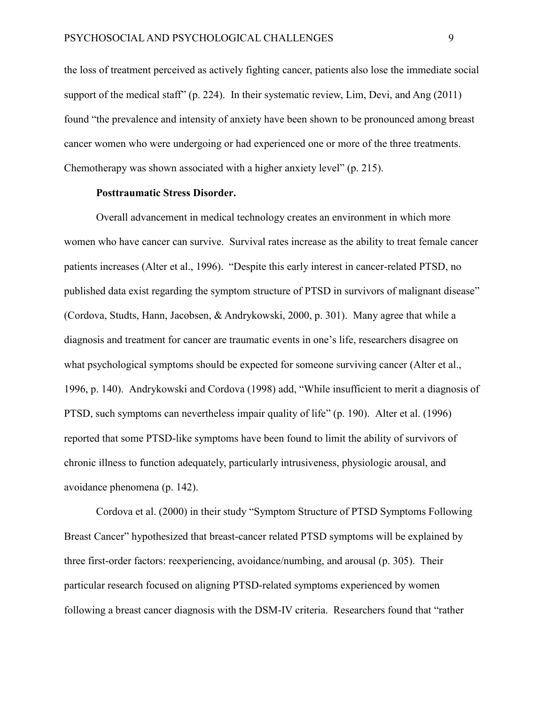the loss of treatment perceived as actively fighting cancer, patients also lose the immediate social support of the medical staff" (p. 224). In their systematic review, Lim, Devi, and Ang (2011) found "the prevalence and intensity of anxiety have been shown to be pronounced among breast cancer women who were undergoing or had experienced one or more of the three treatments. Chemotherapy was shown associated with a higher anxiety level" (p. 215).

#### **Posttraumatic Stress Disorder.**

<span id="page-13-0"></span>Overall advancement in medical technology creates an environment in which more women who have cancer can survive. Survival rates increase as the ability to treat female cancer patients increases (Alter et al., 1996). "Despite this early interest in cancer-related PTSD, no published data exist regarding the symptom structure of PTSD in survivors of malignant disease" (Cordova, Studts, Hann, Jacobsen, & Andrykowski, 2000, p. 301).Many agree that while a diagnosis and treatment for cancer are traumatic events in one's life, researchers disagree on what psychological symptoms should be expected for someone surviving cancer (Alter et al., 1996, p. 140). Andrykowski and Cordova (1998) add, "While insufficient to merit a diagnosis of PTSD, such symptoms can nevertheless impair quality of life" (p. 190). Alter et al. (1996) reported that some PTSD-like symptoms have been found to limit the ability of survivors of chronic illness to function adequately, particularly intrusiveness, physiologic arousal, and avoidance phenomena (p. 142).

Cordova et al. (2000) in their study "Symptom Structure of PTSD Symptoms Following Breast Cancer" hypothesized that breast-cancer related PTSD symptoms will be explained by three first-order factors: reexperiencing, avoidance/numbing, and arousal (p. 305). Their particular research focused on aligning PTSD-related symptoms experienced by women following a breast cancer diagnosis with the DSM-IV criteria. Researchers found that "rather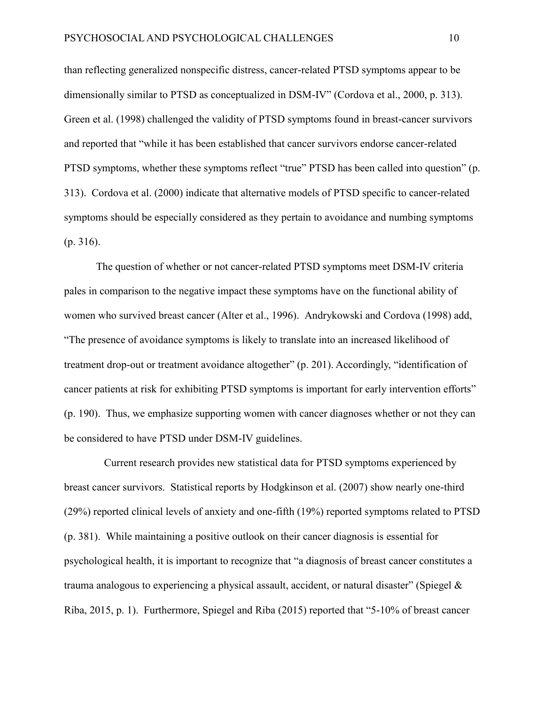than reflecting generalized nonspecific distress, cancer-related PTSD symptoms appear to be dimensionally similar to PTSD as conceptualized in DSM-IV" (Cordova et al., 2000, p. 313). Green et al. (1998) challenged the validity of PTSD symptoms found in breast-cancer survivors and reported that "while it has been established that cancer survivors endorse cancer-related PTSD symptoms, whether these symptoms reflect "true" PTSD has been called into question" (p. 313). Cordova et al. (2000) indicate that alternative models of PTSD specific to cancer-related symptoms should be especially considered as they pertain to avoidance and numbing symptoms (p. 316).

The question of whether or not cancer-related PTSD symptoms meet DSM-IV criteria pales in comparison to the negative impact these symptoms have on the functional ability of women who survived breast cancer (Alter et al., 1996). Andrykowski and Cordova (1998) add, "The presence of avoidance symptoms is likely to translate into an increased likelihood of treatment drop-out or treatment avoidance altogether" (p. 201). Accordingly, "identification of cancer patients at risk for exhibiting PTSD symptoms is important for early intervention efforts" (p. 190). Thus, we emphasize supporting women with cancer diagnoses whether or not they can be considered to have PTSD under DSM-IV guidelines.

 Current research provides new statistical data for PTSD symptoms experienced by breast cancer survivors. Statistical reports by Hodgkinson et al. (2007) show nearly one-third (29%) reported clinical levels of anxiety and one-fifth (19%) reported symptoms related to PTSD (p. 381). While maintaining a positive outlook on their cancer diagnosis is essential for psychological health, it is important to recognize that "a diagnosis of breast cancer constitutes a trauma analogous to experiencing a physical assault, accident, or natural disaster" (Spiegel & Riba, 2015, p. 1). Furthermore, Spiegel and Riba (2015) reported that "5-10% of breast cancer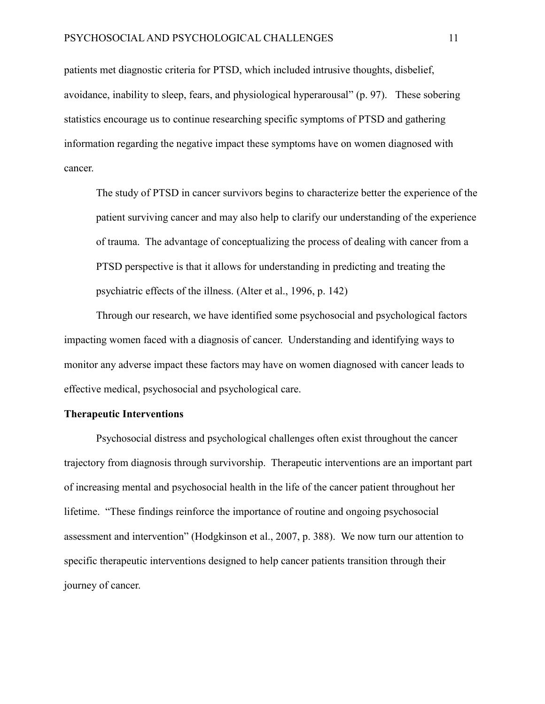patients met diagnostic criteria for PTSD, which included intrusive thoughts, disbelief, avoidance, inability to sleep, fears, and physiological hyperarousal" (p. 97). These sobering statistics encourage us to continue researching specific symptoms of PTSD and gathering information regarding the negative impact these symptoms have on women diagnosed with cancer.

The study of PTSD in cancer survivors begins to characterize better the experience of the patient surviving cancer and may also help to clarify our understanding of the experience of trauma. The advantage of conceptualizing the process of dealing with cancer from a PTSD perspective is that it allows for understanding in predicting and treating the psychiatric effects of the illness. (Alter et al., 1996, p. 142)

Through our research, we have identified some psychosocial and psychological factors impacting women faced with a diagnosis of cancer. Understanding and identifying ways to monitor any adverse impact these factors may have on women diagnosed with cancer leads to effective medical, psychosocial and psychological care.

#### <span id="page-15-0"></span>**Therapeutic Interventions**

Psychosocial distress and psychological challenges often exist throughout the cancer trajectory from diagnosis through survivorship. Therapeutic interventions are an important part of increasing mental and psychosocial health in the life of the cancer patient throughout her lifetime. "These findings reinforce the importance of routine and ongoing psychosocial assessment and intervention" (Hodgkinson et al., 2007, p. 388). We now turn our attention to specific therapeutic interventions designed to help cancer patients transition through their journey of cancer.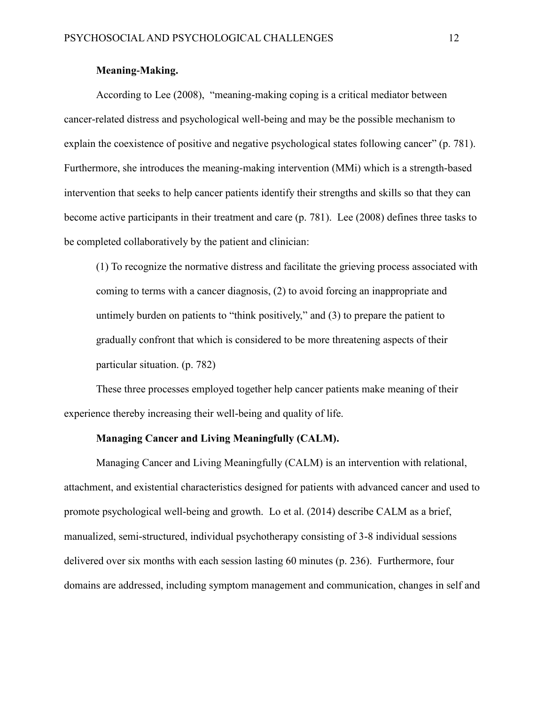# **Meaning-Making.**

<span id="page-16-0"></span>According to Lee (2008), "meaning-making coping is a critical mediator between cancer-related distress and psychological well-being and may be the possible mechanism to explain the coexistence of positive and negative psychological states following cancer" (p. 781). Furthermore, she introduces the meaning-making intervention (MMi) which is a strength-based intervention that seeks to help cancer patients identify their strengths and skills so that they can become active participants in their treatment and care (p. 781). Lee (2008) defines three tasks to be completed collaboratively by the patient and clinician:

(1) To recognize the normative distress and facilitate the grieving process associated with coming to terms with a cancer diagnosis, (2) to avoid forcing an inappropriate and untimely burden on patients to "think positively," and (3) to prepare the patient to gradually confront that which is considered to be more threatening aspects of their particular situation. (p. 782)

These three processes employed together help cancer patients make meaning of their experience thereby increasing their well-being and quality of life.

## **Managing Cancer and Living Meaningfully (CALM).**

<span id="page-16-1"></span>Managing Cancer and Living Meaningfully (CALM) is an intervention with relational, attachment, and existential characteristics designed for patients with advanced cancer and used to promote psychological well-being and growth. Lo et al. (2014) describe CALM as a brief, manualized, semi-structured, individual psychotherapy consisting of 3-8 individual sessions delivered over six months with each session lasting 60 minutes (p. 236). Furthermore, four domains are addressed, including symptom management and communication, changes in self and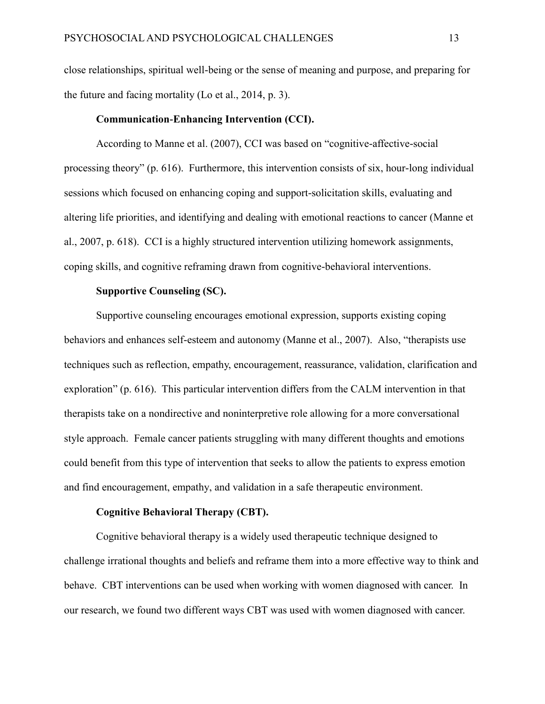close relationships, spiritual well-being or the sense of meaning and purpose, and preparing for the future and facing mortality (Lo et al., 2014, p. 3).

# **Communication-Enhancing Intervention (CCI).**

<span id="page-17-0"></span>According to Manne et al. (2007), CCI was based on "cognitive-affective-social processing theory" (p. 616). Furthermore, this intervention consists of six, hour-long individual sessions which focused on enhancing coping and support-solicitation skills, evaluating and altering life priorities, and identifying and dealing with emotional reactions to cancer (Manne et al., 2007, p. 618). CCI is a highly structured intervention utilizing homework assignments, coping skills, and cognitive reframing drawn from cognitive-behavioral interventions.

# **Supportive Counseling (SC).**

<span id="page-17-1"></span>Supportive counseling encourages emotional expression, supports existing coping behaviors and enhances self-esteem and autonomy (Manne et al., 2007). Also, "therapists use techniques such as reflection, empathy, encouragement, reassurance, validation, clarification and exploration" (p. 616). This particular intervention differs from the CALM intervention in that therapists take on a nondirective and noninterpretive role allowing for a more conversational style approach. Female cancer patients struggling with many different thoughts and emotions could benefit from this type of intervention that seeks to allow the patients to express emotion and find encouragement, empathy, and validation in a safe therapeutic environment.

#### **Cognitive Behavioral Therapy (CBT).**

<span id="page-17-2"></span>Cognitive behavioral therapy is a widely used therapeutic technique designed to challenge irrational thoughts and beliefs and reframe them into a more effective way to think and behave. CBT interventions can be used when working with women diagnosed with cancer. In our research, we found two different ways CBT was used with women diagnosed with cancer.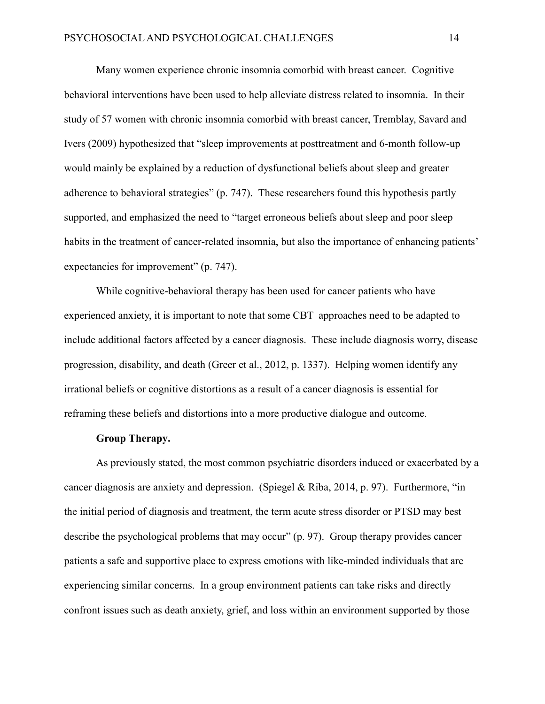Many women experience chronic insomnia comorbid with breast cancer. Cognitive behavioral interventions have been used to help alleviate distress related to insomnia. In their study of 57 women with chronic insomnia comorbid with breast cancer, Tremblay, Savard and Ivers (2009) hypothesized that "sleep improvements at posttreatment and 6-month follow-up would mainly be explained by a reduction of dysfunctional beliefs about sleep and greater adherence to behavioral strategies" (p. 747). These researchers found this hypothesis partly supported, and emphasized the need to "target erroneous beliefs about sleep and poor sleep habits in the treatment of cancer-related insomnia, but also the importance of enhancing patients' expectancies for improvement" (p. 747).

While cognitive-behavioral therapy has been used for cancer patients who have experienced anxiety, it is important to note that some CBT approaches need to be adapted to include additional factors affected by a cancer diagnosis. These include diagnosis worry, disease progression, disability, and death (Greer et al., 2012, p. 1337). Helping women identify any irrational beliefs or cognitive distortions as a result of a cancer diagnosis is essential for reframing these beliefs and distortions into a more productive dialogue and outcome.

## **Group Therapy.**

<span id="page-18-0"></span>As previously stated, the most common psychiatric disorders induced or exacerbated by a cancer diagnosis are anxiety and depression. (Spiegel & Riba, 2014, p. 97). Furthermore, "in the initial period of diagnosis and treatment, the term acute stress disorder or PTSD may best describe the psychological problems that may occur" (p. 97). Group therapy provides cancer patients a safe and supportive place to express emotions with like-minded individuals that are experiencing similar concerns. In a group environment patients can take risks and directly confront issues such as death anxiety, grief, and loss within an environment supported by those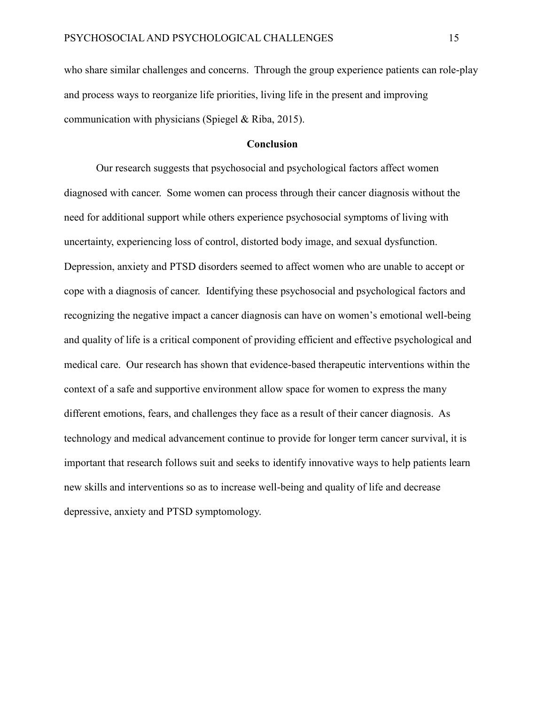who share similar challenges and concerns. Through the group experience patients can role-play and process ways to reorganize life priorities, living life in the present and improving communication with physicians (Spiegel & Riba, 2015).

## **Conclusion**

<span id="page-19-0"></span>Our research suggests that psychosocial and psychological factors affect women diagnosed with cancer. Some women can process through their cancer diagnosis without the need for additional support while others experience psychosocial symptoms of living with uncertainty, experiencing loss of control, distorted body image, and sexual dysfunction. Depression, anxiety and PTSD disorders seemed to affect women who are unable to accept or cope with a diagnosis of cancer. Identifying these psychosocial and psychological factors and recognizing the negative impact a cancer diagnosis can have on women's emotional well-being and quality of life is a critical component of providing efficient and effective psychological and medical care. Our research has shown that evidence-based therapeutic interventions within the context of a safe and supportive environment allow space for women to express the many different emotions, fears, and challenges they face as a result of their cancer diagnosis. As technology and medical advancement continue to provide for longer term cancer survival, it is important that research follows suit and seeks to identify innovative ways to help patients learn new skills and interventions so as to increase well-being and quality of life and decrease depressive, anxiety and PTSD symptomology.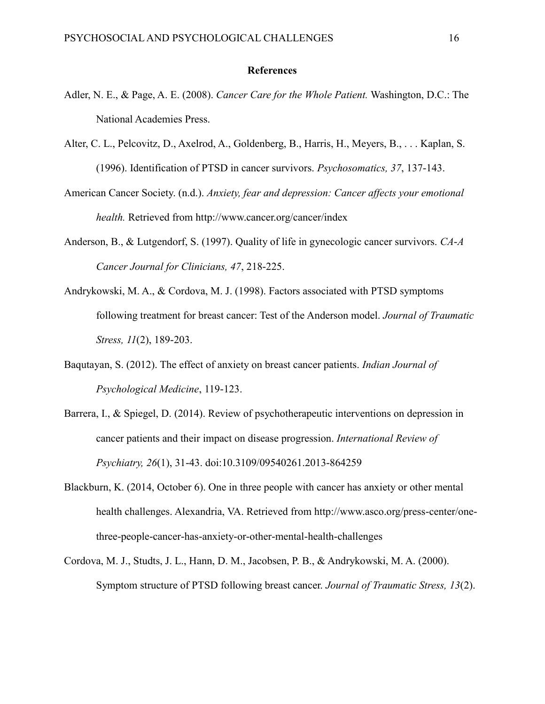#### **References**

- Adler, N. E., & Page, A. E. (2008). *Cancer Care for the Whole Patient.* Washington, D.C.: The National Academies Press.
- Alter, C. L., Pelcovitz, D., Axelrod, A., Goldenberg, B., Harris, H., Meyers, B., . . . Kaplan, S. (1996). Identification of PTSD in cancer survivors. *Psychosomatics, 37*, 137-143.
- American Cancer Society. (n.d.). *Anxiety, fear and depression: Cancer affects your emotional health.* Retrieved from http://www.cancer.org/cancer/index
- Anderson, B., & Lutgendorf, S. (1997). Quality of life in gynecologic cancer survivors. *CA-A Cancer Journal for Clinicians, 47*, 218-225.
- Andrykowski, M. A., & Cordova, M. J. (1998). Factors associated with PTSD symptoms following treatment for breast cancer: Test of the Anderson model. *Journal of Traumatic Stress, 11*(2), 189-203.
- Baqutayan, S. (2012). The effect of anxiety on breast cancer patients. *Indian Journal of Psychological Medicine*, 119-123.
- Barrera, I., & Spiegel, D. (2014). Review of psychotherapeutic interventions on depression in cancer patients and their impact on disease progression. *International Review of Psychiatry, 26*(1), 31-43. doi:10.3109/09540261.2013-864259
- Blackburn, K. (2014, October 6). One in three people with cancer has anxiety or other mental health challenges. Alexandria, VA. Retrieved from http://www.asco.org/press-center/onethree-people-cancer-has-anxiety-or-other-mental-health-challenges
- Cordova, M. J., Studts, J. L., Hann, D. M., Jacobsen, P. B., & Andrykowski, M. A. (2000). Symptom structure of PTSD following breast cancer. *Journal of Traumatic Stress, 13*(2).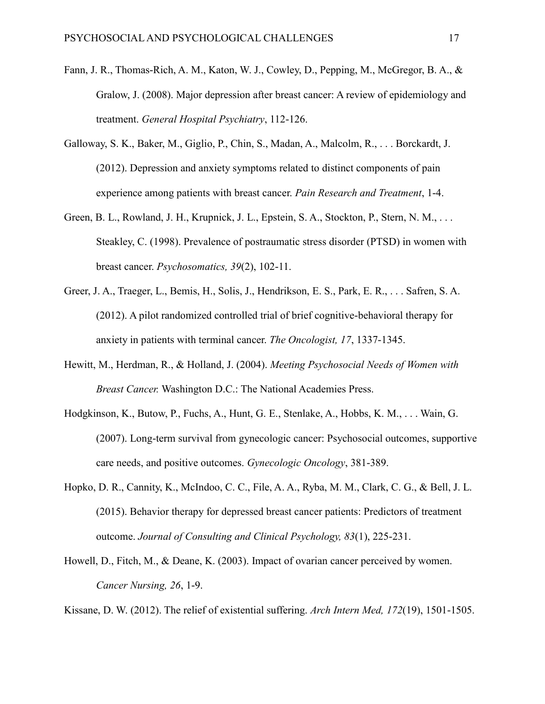- Fann, J. R., Thomas-Rich, A. M., Katon, W. J., Cowley, D., Pepping, M., McGregor, B. A., & Gralow, J. (2008). Major depression after breast cancer: A review of epidemiology and treatment. *General Hospital Psychiatry*, 112-126.
- Galloway, S. K., Baker, M., Giglio, P., Chin, S., Madan, A., Malcolm, R., . . . Borckardt, J. (2012). Depression and anxiety symptoms related to distinct components of pain experience among patients with breast cancer. *Pain Research and Treatment*, 1-4.
- Green, B. L., Rowland, J. H., Krupnick, J. L., Epstein, S. A., Stockton, P., Stern, N. M., . . . Steakley, C. (1998). Prevalence of postraumatic stress disorder (PTSD) in women with breast cancer. *Psychosomatics, 39*(2), 102-11.
- Greer, J. A., Traeger, L., Bemis, H., Solis, J., Hendrikson, E. S., Park, E. R., . . . Safren, S. A. (2012). A pilot randomized controlled trial of brief cognitive-behavioral therapy for anxiety in patients with terminal cancer. *The Oncologist, 17*, 1337-1345.
- Hewitt, M., Herdman, R., & Holland, J. (2004). *Meeting Psychosocial Needs of Women with Breast Cancer.* Washington D.C.: The National Academies Press.
- Hodgkinson, K., Butow, P., Fuchs, A., Hunt, G. E., Stenlake, A., Hobbs, K. M., . . . Wain, G. (2007). Long-term survival from gynecologic cancer: Psychosocial outcomes, supportive care needs, and positive outcomes. *Gynecologic Oncology*, 381-389.
- Hopko, D. R., Cannity, K., McIndoo, C. C., File, A. A., Ryba, M. M., Clark, C. G., & Bell, J. L. (2015). Behavior therapy for depressed breast cancer patients: Predictors of treatment outcome. *Journal of Consulting and Clinical Psychology, 83*(1), 225-231.
- Howell, D., Fitch, M., & Deane, K. (2003). Impact of ovarian cancer perceived by women. *Cancer Nursing, 26*, 1-9.

Kissane, D. W. (2012). The relief of existential suffering. *Arch Intern Med, 172*(19), 1501-1505.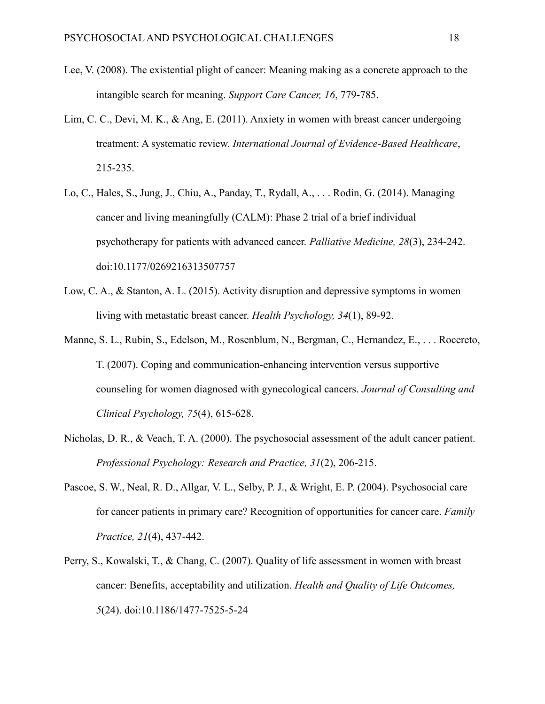- Lee, V. (2008). The existential plight of cancer: Meaning making as a concrete approach to the intangible search for meaning. *Support Care Cancer, 16*, 779-785.
- Lim, C. C., Devi, M. K., & Ang, E. (2011). Anxiety in women with breast cancer undergoing treatment: A systematic review. *International Journal of Evidence-Based Healthcare*, 215-235.
- Lo, C., Hales, S., Jung, J., Chiu, A., Panday, T., Rydall, A., . . . Rodin, G. (2014). Managing cancer and living meaningfully (CALM): Phase 2 trial of a brief individual psychotherapy for patients with advanced cancer. *Palliative Medicine, 28*(3), 234-242. doi:10.1177/0269216313507757
- Low, C. A., & Stanton, A. L. (2015). Activity disruption and depressive symptoms in women living with metastatic breast cancer. *Health Psychology, 34*(1), 89-92.
- Manne, S. L., Rubin, S., Edelson, M., Rosenblum, N., Bergman, C., Hernandez, E., . . . Rocereto, T. (2007). Coping and communication-enhancing intervention versus supportive counseling for women diagnosed with gynecological cancers. *Journal of Consulting and Clinical Psychology, 75*(4), 615-628.
- Nicholas, D. R., & Veach, T. A. (2000). The psychosocial assessment of the adult cancer patient. *Professional Psychology: Research and Practice, 31*(2), 206-215.
- Pascoe, S. W., Neal, R. D., Allgar, V. L., Selby, P. J., & Wright, E. P. (2004). Psychosocial care for cancer patients in primary care? Recognition of opportunities for cancer care. *Family Practice, 21*(4), 437-442.
- Perry, S., Kowalski, T., & Chang, C. (2007). Quality of life assessment in women with breast cancer: Benefits, acceptability and utilization. *Health and Quality of Life Outcomes, 5*(24). doi:10.1186/1477-7525-5-24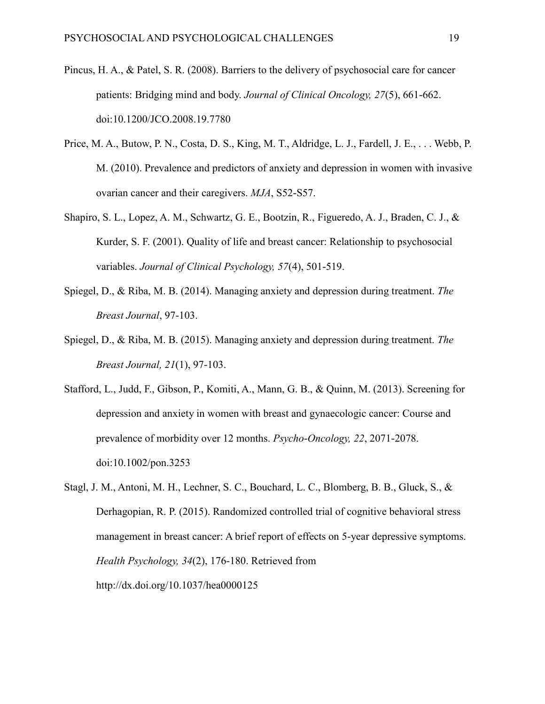- Pincus, H. A., & Patel, S. R. (2008). Barriers to the delivery of psychosocial care for cancer patients: Bridging mind and body. *Journal of Clinical Oncology, 27*(5), 661-662. doi:10.1200/JCO.2008.19.7780
- Price, M. A., Butow, P. N., Costa, D. S., King, M. T., Aldridge, L. J., Fardell, J. E., . . . Webb, P. M. (2010). Prevalence and predictors of anxiety and depression in women with invasive ovarian cancer and their caregivers. *MJA*, S52-S57.
- Shapiro, S. L., Lopez, A. M., Schwartz, G. E., Bootzin, R., Figueredo, A. J., Braden, C. J., & Kurder, S. F. (2001). Quality of life and breast cancer: Relationship to psychosocial variables. *Journal of Clinical Psychology, 57*(4), 501-519.
- Spiegel, D., & Riba, M. B. (2014). Managing anxiety and depression during treatment. *The Breast Journal*, 97-103.
- Spiegel, D., & Riba, M. B. (2015). Managing anxiety and depression during treatment. *The Breast Journal, 21*(1), 97-103.
- Stafford, L., Judd, F., Gibson, P., Komiti, A., Mann, G. B., & Quinn, M. (2013). Screening for depression and anxiety in women with breast and gynaecologic cancer: Course and prevalence of morbidity over 12 months. *Psycho-Oncology, 22*, 2071-2078. doi:10.1002/pon.3253
- Stagl, J. M., Antoni, M. H., Lechner, S. C., Bouchard, L. C., Blomberg, B. B., Gluck, S., & Derhagopian, R. P. (2015). Randomized controlled trial of cognitive behavioral stress management in breast cancer: A brief report of effects on 5-year depressive symptoms. *Health Psychology, 34*(2), 176-180. Retrieved from http://dx.doi.org/10.1037/hea0000125